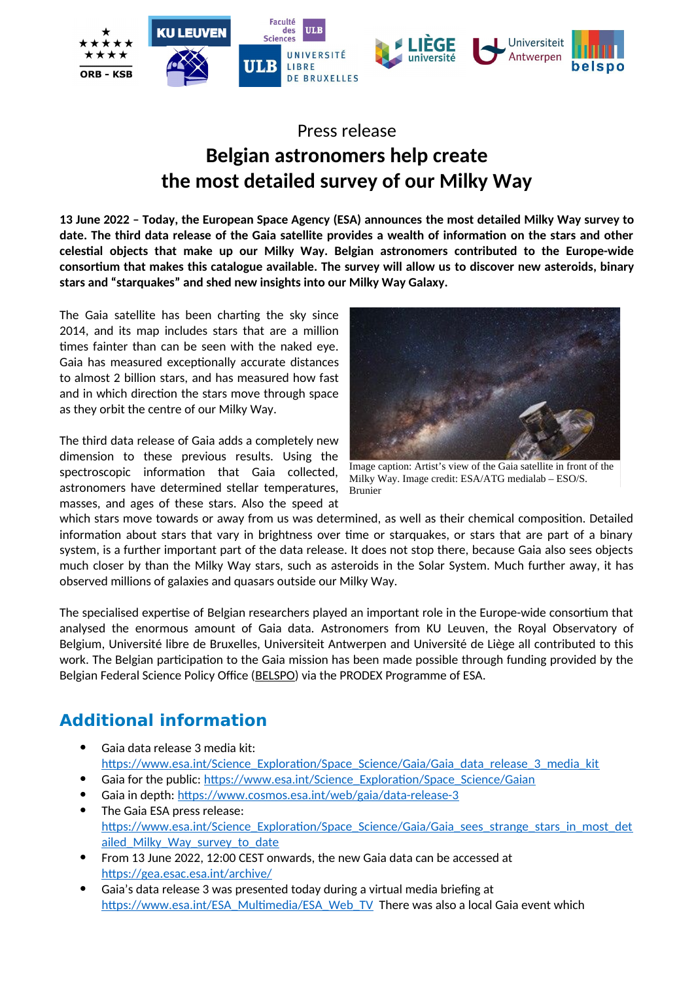

# Press release **Belgian astronomers help create the most detailed survey of our Milky Way**

**13 June 2022 – Today, the European Space Agency (ESA) announces the most detailed Milky Way survey to date. The third data release of the Gaia satellite provides a wealth of information on the stars and other celestial objects that make up our Milky Way. Belgian astronomers contributed to the Europe-wide consortium that makes this catalogue available. The survey will allow us to discover new asteroids, binary stars and "starquakes" and shed new insights into our Milky Way Galaxy.**

The Gaia satellite has been charting the sky since 2014, and its map includes stars that are a million times fainter than can be seen with the naked eye. Gaia has measured exceptionally accurate distances to almost 2 billion stars, and has measured how fast and in which direction the stars move through space as they orbit the centre of our Milky Way.

The third data release of Gaia adds a completely new dimension to these previous results. Using the spectroscopic information that Gaia collected, astronomers have determined stellar temperatures, masses, and ages of these stars. Also the speed at



Image caption: Artist's view of the Gaia satellite in front of the Milky Way. Image credit: ESA/ATG medialab – ESO/S. Brunier

which stars move towards or away from us was determined, as well as their chemical composition. Detailed information about stars that vary in brightness over time or starquakes, or stars that are part of a binary system, is a further important part of the data release. It does not stop there, because Gaia also sees objects much closer by than the Milky Way stars, such as asteroids in the Solar System. Much further away, it has observed millions of galaxies and quasars outside our Milky Way.

The specialised expertise of Belgian researchers played an important role in the Europe-wide consortium that analysed the enormous amount of Gaia data. Astronomers from KU Leuven, the Royal Observatory of Belgium, Université libre de Bruxelles, Universiteit Antwerpen and Université de Liège all contributed to this work. The Belgian participation to the Gaia mission has been made possible through funding provided by the Belgian Federal Science Policy Office ([BELSPO](http://www.belspo.be/)) via the PRODEX Programme of ESA.

# **Additional information**

- Gaia data release 3 media kit: [https://www.esa.int/Science\\_Exploration/Space\\_Science/Gaia/Gaia\\_data\\_release\\_3\\_media\\_kit](https://www.esa.int/Science_Exploration/Space_Science/Gaia/Gaia_data_release_3_media_kit)
- Gaia for the public: [https://www.esa.int/Science\\_Exploration/Space\\_Science/Gaian](https://www.esa.int/Science_Exploration/Space_Science/Gaian)
- Gaia in depth:<https://www.cosmos.esa.int/web/gaia/data-release-3> The Gaia ESA press release: [https://www.esa.int/Science\\_Exploration/Space\\_Science/Gaia/Gaia\\_sees\\_strange\\_stars\\_in\\_most\\_det](https://www.esa.int/Science_Exploration/Space_Science/Gaia/Gaia_sees_strange_stars_in_most_detailed_Milky_Way_survey_to_date) ailed Milky Way survey to date
- From 13 June 2022, 12:00 CEST onwards, the new Gaia data can be accessed at <https://gea.esac.esa.int/archive/>
- Gaia's data release 3 was presented today during a virtual media briefing at [https://www.esa.int/ESA\\_Multimedia/ESA\\_Web\\_TV](https://www.esa.int/ESA_Multimedia/ESA_Web_TV) There was also a local Gaia event which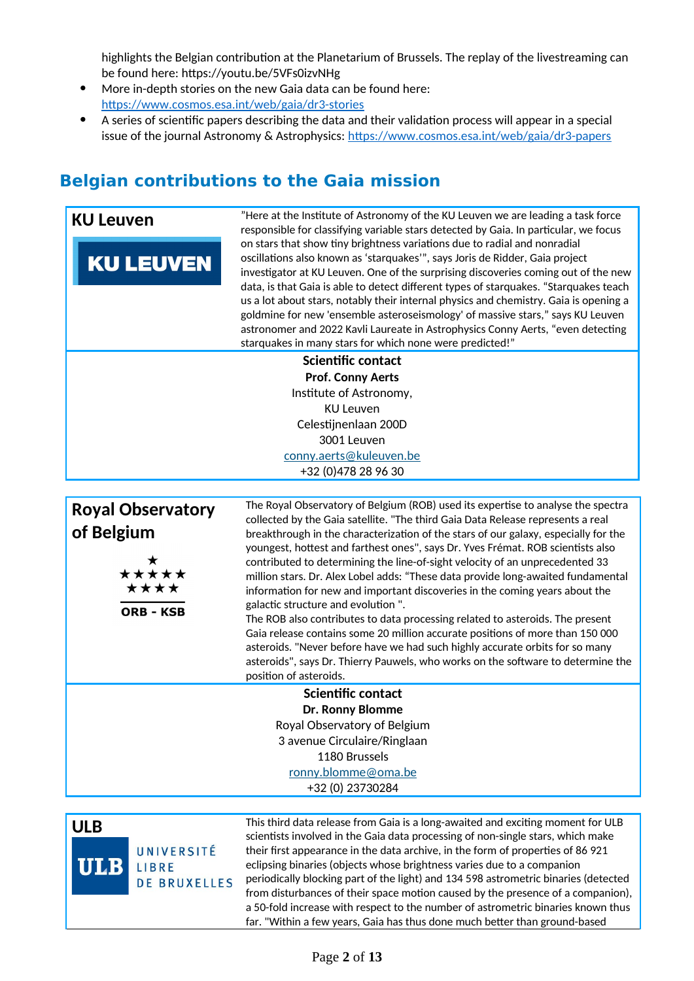highlights the Belgian contribution at the Planetarium of Brussels. The replay of the livestreaming can be found here: https://youtu.be/5VFs0izvNHg

- More in-depth stories on the new Gaia data can be found here: <https://www.cosmos.esa.int/web/gaia/dr3-stories>
- A series of scientific papers describing the data and their validation process will appear in a special issue of the journal Astronomy & Astrophysics: <https://www.cosmos.esa.int/web/gaia/dr3-papers>

## **Belgian contributions to the Gaia mission**

| <b>KU Leuven</b><br><b>KU LEUVEN</b>                                        | "Here at the Institute of Astronomy of the KU Leuven we are leading a task force<br>responsible for classifying variable stars detected by Gaia. In particular, we focus<br>on stars that show tiny brightness variations due to radial and nonradial<br>oscillations also known as 'starquakes'", says Joris de Ridder, Gaia project<br>investigator at KU Leuven. One of the surprising discoveries coming out of the new<br>data, is that Gaia is able to detect different types of starquakes. "Starquakes teach<br>us a lot about stars, notably their internal physics and chemistry. Gaia is opening a<br>goldmine for new 'ensemble asteroseismology' of massive stars," says KU Leuven<br>astronomer and 2022 Kavli Laureate in Astrophysics Conny Aerts, "even detecting<br>starquakes in many stars for which none were predicted!"                                                                                                                                                          |
|-----------------------------------------------------------------------------|---------------------------------------------------------------------------------------------------------------------------------------------------------------------------------------------------------------------------------------------------------------------------------------------------------------------------------------------------------------------------------------------------------------------------------------------------------------------------------------------------------------------------------------------------------------------------------------------------------------------------------------------------------------------------------------------------------------------------------------------------------------------------------------------------------------------------------------------------------------------------------------------------------------------------------------------------------------------------------------------------------|
|                                                                             | Scientific contact<br><b>Prof. Conny Aerts</b><br>Institute of Astronomy,<br><b>KU Leuven</b><br>Celestijnenlaan 200D<br>3001 Leuven<br>conny.aerts@kuleuven.be<br>+32 (0) 478 28 96 30                                                                                                                                                                                                                                                                                                                                                                                                                                                                                                                                                                                                                                                                                                                                                                                                                 |
| <b>Royal Observatory</b><br>of Belgium<br>*****<br>****<br><b>ORB - KSB</b> | The Royal Observatory of Belgium (ROB) used its expertise to analyse the spectra<br>collected by the Gaia satellite. "The third Gaia Data Release represents a real<br>breakthrough in the characterization of the stars of our galaxy, especially for the<br>youngest, hottest and farthest ones", says Dr. Yves Frémat. ROB scientists also<br>contributed to determining the line-of-sight velocity of an unprecedented 33<br>million stars. Dr. Alex Lobel adds: "These data provide long-awaited fundamental<br>information for new and important discoveries in the coming years about the<br>galactic structure and evolution ".<br>The ROB also contributes to data processing related to asteroids. The present<br>Gaia release contains some 20 million accurate positions of more than 150 000<br>asteroids. "Never before have we had such highly accurate orbits for so many<br>asteroids", says Dr. Thierry Pauwels, who works on the software to determine the<br>position of asteroids. |
|                                                                             | Scientific contact<br><b>Dr. Ronny Blomme</b><br>Royal Observatory of Belgium<br>3 avenue Circulaire/Ringlaan<br>1180 Brussels<br>ronny.blomme@oma.be<br>+32 (0) 23730284                                                                                                                                                                                                                                                                                                                                                                                                                                                                                                                                                                                                                                                                                                                                                                                                                               |

UNIVERSITÉ ULB LIBRE **DE BRUXELLES** 

**ULB** This third data release from Gaia is a long-awaited and exciting moment for ULB scientists involved in the Gaia data processing of non-single stars, which make their first appearance in the data archive, in the form of properties of 86 921 eclipsing binaries (objects whose brightness varies due to a companion periodically blocking part of the light) and 134 598 astrometric binaries (detected from disturbances of their space motion caused by the presence of a companion), a 50-fold increase with respect to the number of astrometric binaries known thus far. "Within a few years, Gaia has thus done much better than ground-based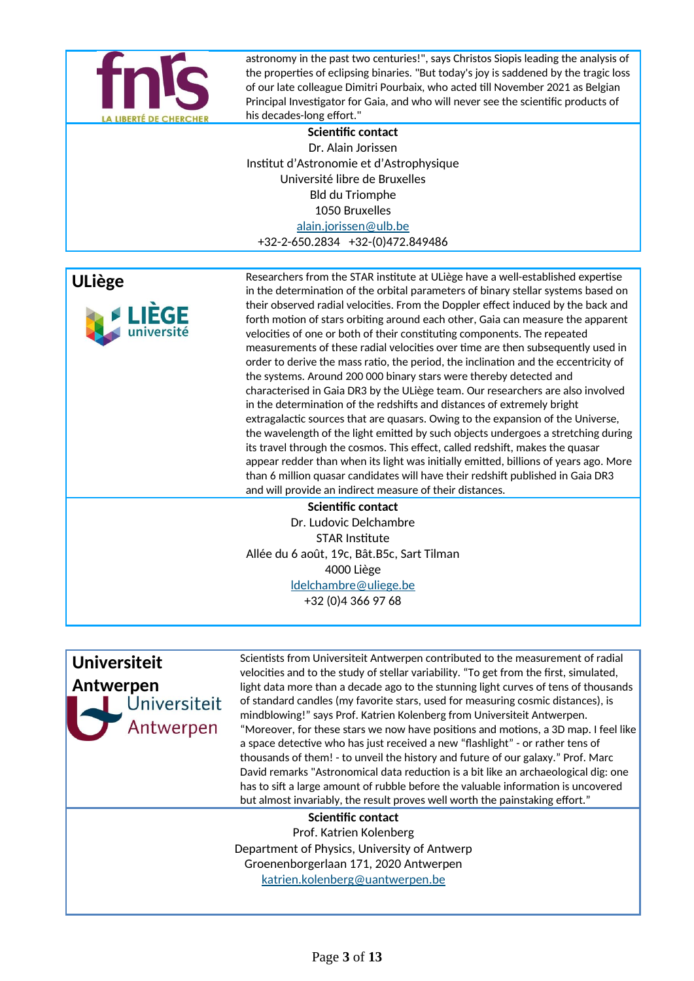

astronomy in the past two centuries!", says Christos Siopis leading the analysis of the properties of eclipsing binaries. "But today's joy is saddened by the tragic loss of our late colleague Dimitri Pourbaix, who acted till November 2021 as Belgian Principal Investigator for Gaia, and who will never see the scientific products of his decades-long effort."

**Scientific contact** Dr. Alain Jorissen Institut d'Astronomie et d'Astrophysique Université libre de Bruxelles Bld du Triomphe 1050 Bruxelles [alain.jorissen@ulb.be](mailto:alain.jorissen@ulb.be) +32-2-650.2834 +32-(0)472.849486



**ULiège** Researchers from the STAR institute at ULiège have a well-established expertise in the determination of the orbital parameters of binary stellar systems based on their observed radial velocities. From the Doppler effect induced by the back and forth motion of stars orbiting around each other, Gaia can measure the apparent velocities of one or both of their constituting components. The repeated measurements of these radial velocities over time are then subsequently used in order to derive the mass ratio, the period, the inclination and the eccentricity of the systems. Around 200 000 binary stars were thereby detected and characterised in Gaia DR3 by the ULiège team. Our researchers are also involved in the determination of the redshifts and distances of extremely bright extragalactic sources that are quasars. Owing to the expansion of the Universe, the wavelength of the light emitted by such objects undergoes a stretching during its travel through the cosmos. This effect, called redshift, makes the quasar appear redder than when its light was initially emitted, billions of years ago. More than 6 million quasar candidates will have their redshift published in Gaia DR3 and will provide an indirect measure of their distances.

#### **Scientific contact**

Dr. Ludovic Delchambre STAR Institute Allée du 6 août, 19c, Bât.B5c, Sart Tilman 4000 Liège [ldelchambre@uliege.be](mailto:ldelchambre@uliege.be) +32 (0)4 366 97 68

**Universiteit Antwerpen** Antwerpen

Scientists from Universiteit Antwerpen contributed to the measurement of radial velocities and to the study of stellar variability. "To get from the first, simulated, light data more than a decade ago to the stunning light curves of tens of thousands of standard candles (my favorite stars, used for measuring cosmic distances), is mindblowing!" says Prof. Katrien Kolenberg from Universiteit Antwerpen. "Moreover, for these stars we now have positions and motions, a 3D map. I feel like a space detective who has just received a new "flashlight" - or rather tens of thousands of them! - to unveil the history and future of our galaxy." Prof. Marc David remarks "Astronomical data reduction is a bit like an archaeological dig: one has to sift a large amount of rubble before the valuable information is uncovered but almost invariably, the result proves well worth the painstaking effort."

#### **Scientific contact**

Prof. Katrien Kolenberg Department of Physics, University of Antwerp Groenenborgerlaan 171, 2020 Antwerpen [katrien.kolenberg@uantwerpen.be](mailto:katrien.kolenberg@uantwerpen.be)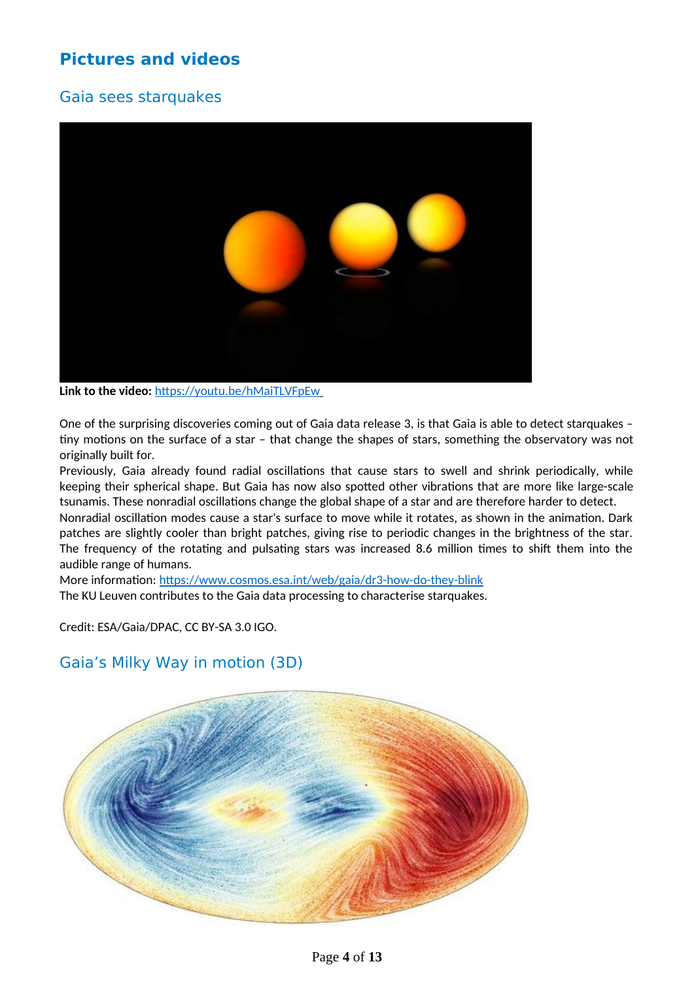## **Pictures and videos**

### Gaia sees starquakes



**Link to the video:** <https://youtu.be/hMaiTLVFpEw>

One of the surprising discoveries coming out of Gaia data release 3, is that Gaia is able to detect starquakes – tiny motions on the surface of a star – that change the shapes of stars, something the observatory was not originally built for.

Previously, Gaia already found radial oscillations that cause stars to swell and shrink periodically, while keeping their spherical shape. But Gaia has now also spotted other vibrations that are more like large-scale tsunamis. These nonradial oscillations change the global shape of a star and are therefore harder to detect.

Nonradial oscillation modes cause a star's surface to move while it rotates, as shown in the animation. Dark patches are slightly cooler than bright patches, giving rise to periodic changes in the brightness of the star. The frequency of the rotating and pulsating stars was increased 8.6 million times to shift them into the audible range of humans.

More information: <https://www.cosmos.esa.int/web/gaia/dr3-how-do-they-blink> The KU Leuven contributes to the Gaia data processing to characterise starquakes.

Credit: ESA/Gaia/DPAC, CC BY-SA 3.0 IGO.

## Gaia's Milky Way in motion (3D)

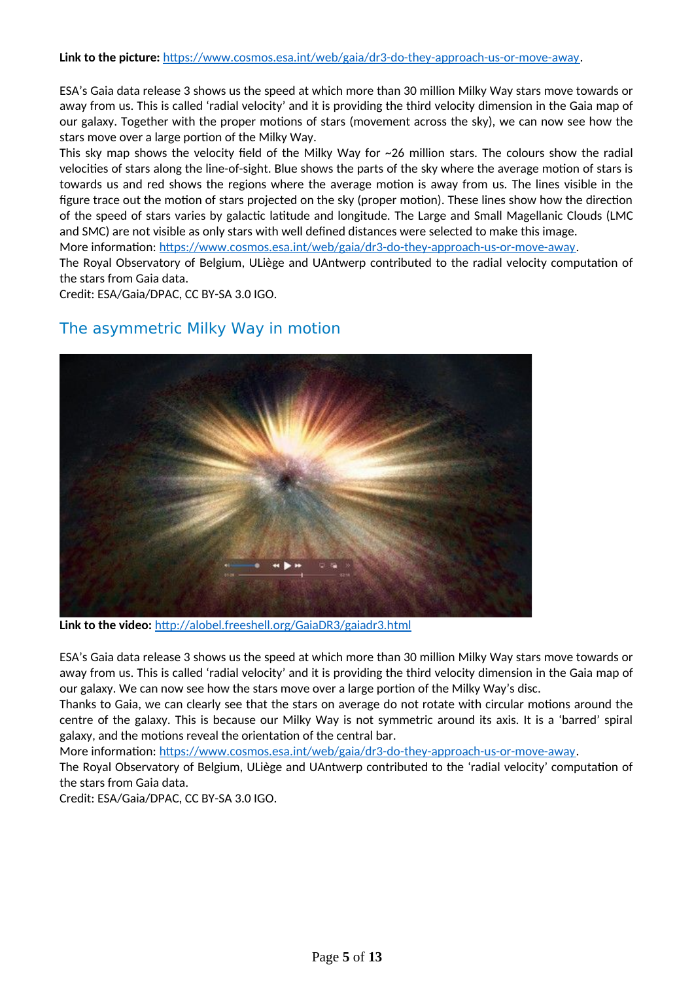**Link to the picture:** [https://www.cosmos.esa.int/web/gaia/dr3-do-they-approach-us-or-move-away.](https://www.cosmos.esa.int/web/gaia/dr3-do-they-approach-us-or-move-away)

ESA's Gaia data release 3 shows us the speed at which more than 30 million Milky Way stars move towards or away from us. This is called 'radial velocity' and it is providing the third velocity dimension in the Gaia map of our galaxy. Together with the proper motions of stars (movement across the sky), we can now see how the stars move over a large portion of the Milky Way.

This sky map shows the velocity field of the Milky Way for ~26 million stars. The colours show the radial velocities of stars along the line-of-sight. Blue shows the parts of the sky where the average motion of stars is towards us and red shows the regions where the average motion is away from us. The lines visible in the figure trace out the motion of stars projected on the sky (proper motion). These lines show how the direction of the speed of stars varies by galactic latitude and longitude. The Large and Small Magellanic Clouds (LMC and SMC) are not visible as only stars with well defined distances were selected to make this image.

More information: <https://www.cosmos.esa.int/web/gaia/dr3-do-they-approach-us-or-move-away>.

The Royal Observatory of Belgium, ULiège and UAntwerp contributed to the radial velocity computation of the stars from Gaia data.

Credit: ESA/Gaia/DPAC, CC BY-SA 3.0 IGO.

### The asymmetric Milky Way in motion



**Link to the video:** http://alobel.freeshell.org/GaiaDR3/gaiadr3.html

ESA's Gaia data release 3 shows us the speed at which more than 30 million Milky Way stars move towards or away from us. This is called 'radial velocity' and it is providing the third velocity dimension in the Gaia map of our galaxy. We can now see how the stars move over a large portion of the Milky Way's disc.

Thanks to Gaia, we can clearly see that the stars on average do not rotate with circular motions around the centre of the galaxy. This is because our Milky Way is not symmetric around its axis. It is a 'barred' spiral galaxy, and the motions reveal the orientation of the central bar.

More information: <https://www.cosmos.esa.int/web/gaia/dr3-do-they-approach-us-or-move-away>.

The Royal Observatory of Belgium, ULiège and UAntwerp contributed to the 'radial velocity' computation of the stars from Gaia data.

Credit: ESA/Gaia/DPAC, CC BY-SA 3.0 IGO.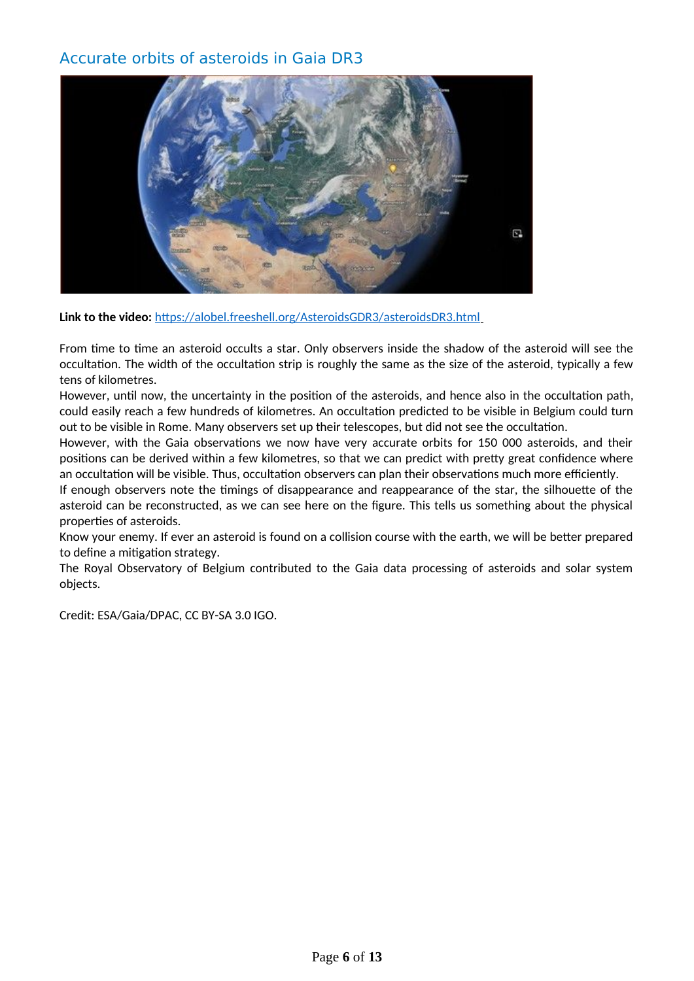### Accurate orbits of asteroids in Gaia DR3



Link to the video: <https://alobel.freeshell.org/AsteroidsGDR3/asteroidsDR3.html>

From time to time an asteroid occults a star. Only observers inside the shadow of the asteroid will see the occultation. The width of the occultation strip is roughly the same as the size of the asteroid, typically a few tens of kilometres.

However, until now, the uncertainty in the position of the asteroids, and hence also in the occultation path, could easily reach a few hundreds of kilometres. An occultation predicted to be visible in Belgium could turn out to be visible in Rome. Many observers set up their telescopes, but did not see the occultation.

However, with the Gaia observations we now have very accurate orbits for 150 000 asteroids, and their positions can be derived within a few kilometres, so that we can predict with pretty great confidence where an occultation will be visible. Thus, occultation observers can plan their observations much more efficiently.

If enough observers note the timings of disappearance and reappearance of the star, the silhouette of the asteroid can be reconstructed, as we can see here on the figure. This tells us something about the physical properties of asteroids.

Know your enemy. If ever an asteroid is found on a collision course with the earth, we will be better prepared to define a mitigation strategy.

The Royal Observatory of Belgium contributed to the Gaia data processing of asteroids and solar system objects.

Credit: ESA/Gaia/DPAC, CC BY-SA 3.0 IGO.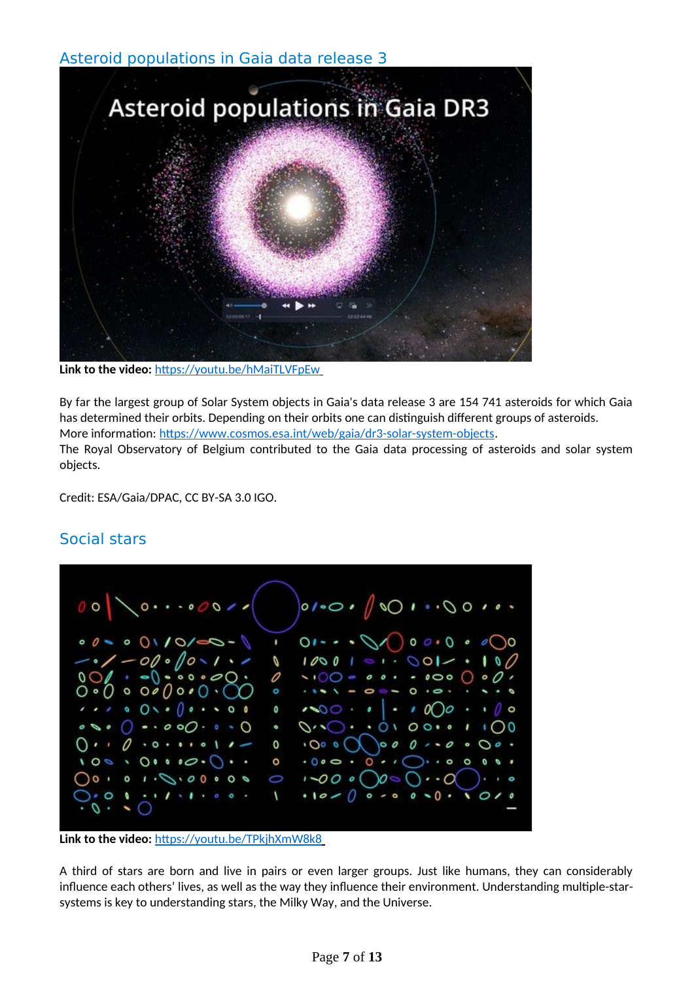### Asteroid populations in Gaia data release 3



**Link to the video:** <https://youtu.be/hMaiTLVFpEw>

By far the largest group of Solar System objects in Gaia's data release 3 are 154 741 asteroids for which Gaia has determined their orbits. Depending on their orbits one can distinguish different groups of asteroids. More information: <https://www.cosmos.esa.int/web/gaia/dr3-solar-system-objects>. The Royal Observatory of Belgium contributed to the Gaia data processing of asteroids and solar system objects.

Credit: ESA/Gaia/DPAC, CC BY-SA 3.0 IGO.

### Social stars



**Link to the video:** <https://youtu.be/TPkjhXmW8k8>

A third of stars are born and live in pairs or even larger groups. Just like humans, they can considerably influence each others' lives, as well as the way they influence their environment. Understanding multiple-starsystems is key to understanding stars, the Milky Way, and the Universe.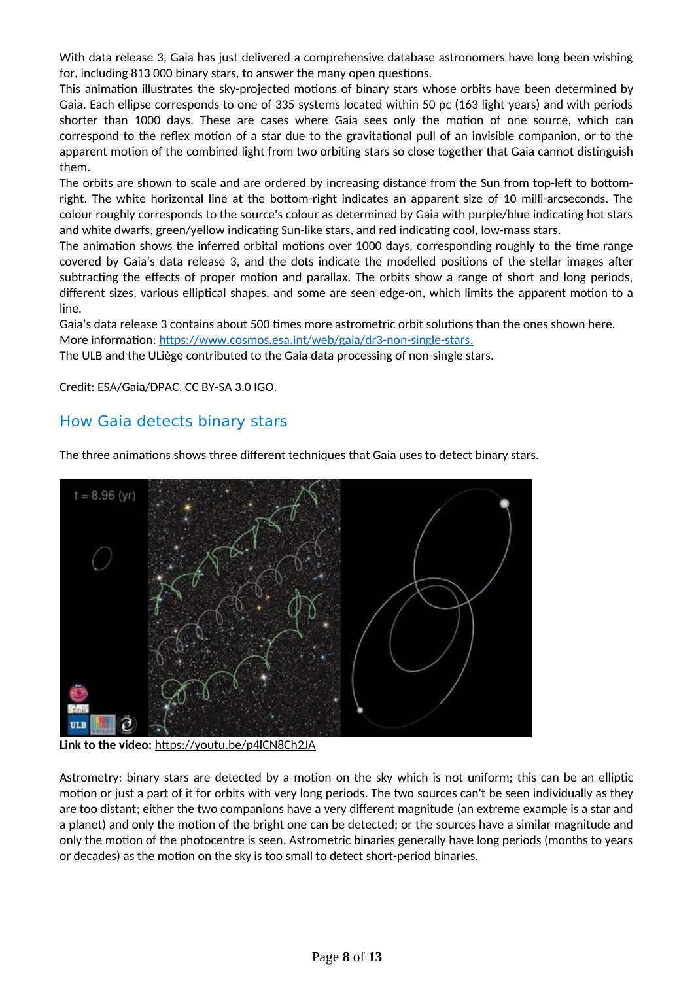With data release 3, Gaia has just delivered a comprehensive database astronomers have long been wishing for, including 813 000 binary stars, to answer the many open questions.

This animation illustrates the sky-projected motions of binary stars whose orbits have been determined by Gaia. Each ellipse corresponds to one of 335 systems located within 50 pc (163 light years) and with periods shorter than 1000 days. These are cases where Gaia sees only the motion of one source, which can correspond to the reflex motion of a star due to the gravitational pull of an invisible companion, or to the apparent motion of the combined light from two orbiting stars so close together that Gaia cannot distinguish them.

The orbits are shown to scale and are ordered by increasing distance from the Sun from top-left to bottomright. The white horizontal line at the bottom-right indicates an apparent size of 10 milli-arcseconds. The colour roughly corresponds to the source's colour as determined by Gaia with purple/blue indicating hot stars and white dwarfs, green/yellow indicating Sun-like stars, and red indicating cool, low-mass stars.

The animation shows the inferred orbital motions over 1000 days, corresponding roughly to the time range covered by Gaia's data release 3, and the dots indicate the modelled positions of the stellar images after subtracting the effects of proper motion and parallax. The orbits show a range of short and long periods, different sizes, various elliptical shapes, and some are seen edge-on, which limits the apparent motion to a line.

Gaia's data release 3 contains about 500 times more astrometric orbit solutions than the ones shown here. More information: <https://www.cosmos.esa.int/web/gaia/dr3-non-single-stars> .

The ULB and the ULiège contributed to the Gaia data processing of non-single stars.

Credit: ESA/Gaia/DPAC, CC BY-SA 3.0 IGO.

### How Gaia detects binary stars

The three animations shows three different techniques that Gaia uses to detect binary stars.

![](_page_7_Picture_9.jpeg)

**Link to the video:** <https://youtu.be/p4lCN8Ch2JA>

Astrometry: binary stars are detected by a motion on the sky which is not uniform; this can be an elliptic motion or just a part of it for orbits with very long periods. The two sources can't be seen individually as they are too distant; either the two companions have a very different magnitude (an extreme example is a star and a planet) and only the motion of the bright one can be detected; or the sources have a similar magnitude and only the motion of the photocentre is seen. Astrometric binaries generally have long periods (months to years or decades) as the motion on the sky is too small to detect short-period binaries.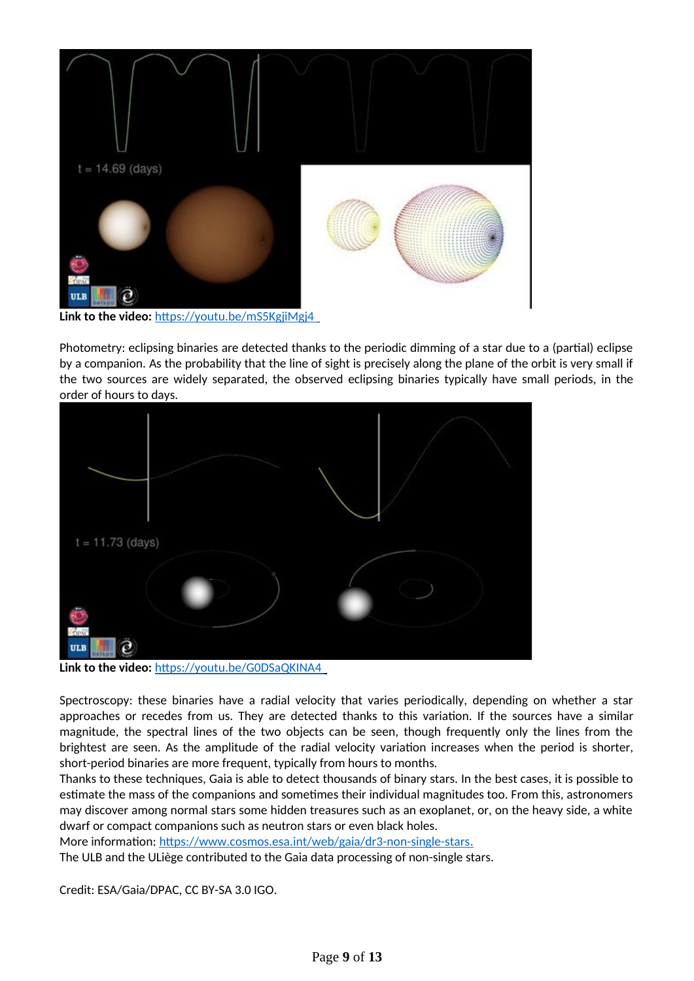![](_page_8_Picture_0.jpeg)

Photometry: eclipsing binaries are detected thanks to the periodic dimming of a star due to a (partial) eclipse by a companion. As the probability that the line of sight is precisely along the plane of the orbit is very small if the two sources are widely separated, the observed eclipsing binaries typically have small periods, in the order of hours to days.

![](_page_8_Figure_2.jpeg)

Link to the video: https://youtu.be/G0DSaQKINA4

Spectroscopy: these binaries have a radial velocity that varies periodically, depending on whether a star approaches or recedes from us. They are detected thanks to this variation. If the sources have a similar magnitude, the spectral lines of the two objects can be seen, though frequently only the lines from the brightest are seen. As the amplitude of the radial velocity variation increases when the period is shorter, short-period binaries are more frequent, typically from hours to months.

Thanks to these techniques, Gaia is able to detect thousands of binary stars. In the best cases, it is possible to estimate the mass of the companions and sometimes their individual magnitudes too. From this, astronomers may discover among normal stars some hidden treasures such as an exoplanet, or, on the heavy side, a white dwarf or compact companions such as neutron stars or even black holes.

More information: <https://www.cosmos.esa.int/web/gaia/dr3-non-single-stars>. The ULB and the ULiège contributed to the Gaia data processing of non-single stars.

Credit: ESA/Gaia/DPAC, CC BY-SA 3.0 IGO.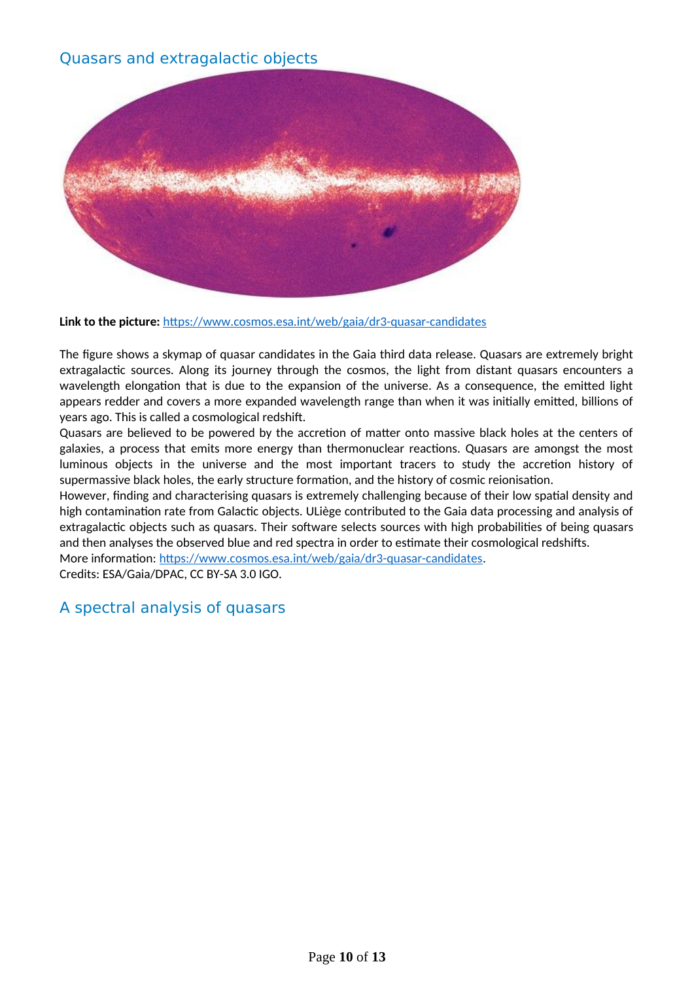### Quasars and extragalactic objects

![](_page_9_Picture_1.jpeg)

**Link to the picture:** <https://www.cosmos.esa.int/web/gaia/dr3-quasar-candidates>

The figure shows a skymap of quasar candidates in the Gaia third data release. Quasars are extremely bright extragalactic sources. Along its journey through the cosmos, the light from distant quasars encounters a wavelength elongation that is due to the expansion of the universe. As a consequence, the emitted light appears redder and covers a more expanded wavelength range than when it was initially emitted, billions of years ago. This is called a cosmological redshift.

Quasars are believed to be powered by the accretion of matter onto massive black holes at the centers of galaxies, a process that emits more energy than thermonuclear reactions. Quasars are amongst the most luminous objects in the universe and the most important tracers to study the accretion history of supermassive black holes, the early structure formation, and the history of cosmic reionisation.

However, finding and characterising quasars is extremely challenging because of their low spatial density and high contamination rate from Galactic objects. ULiège contributed to the Gaia data processing and analysis of extragalactic objects such as quasars. Their software selects sources with high probabilities of being quasars and then analyses the observed blue and red spectra in order to estimate their cosmological redshifts.

More information: <https://www.cosmos.esa.int/web/gaia/dr3-quasar-candidates>.

Credits: ESA/Gaia/DPAC, CC BY-SA 3.0 IGO.

### A spectral analysis of quasars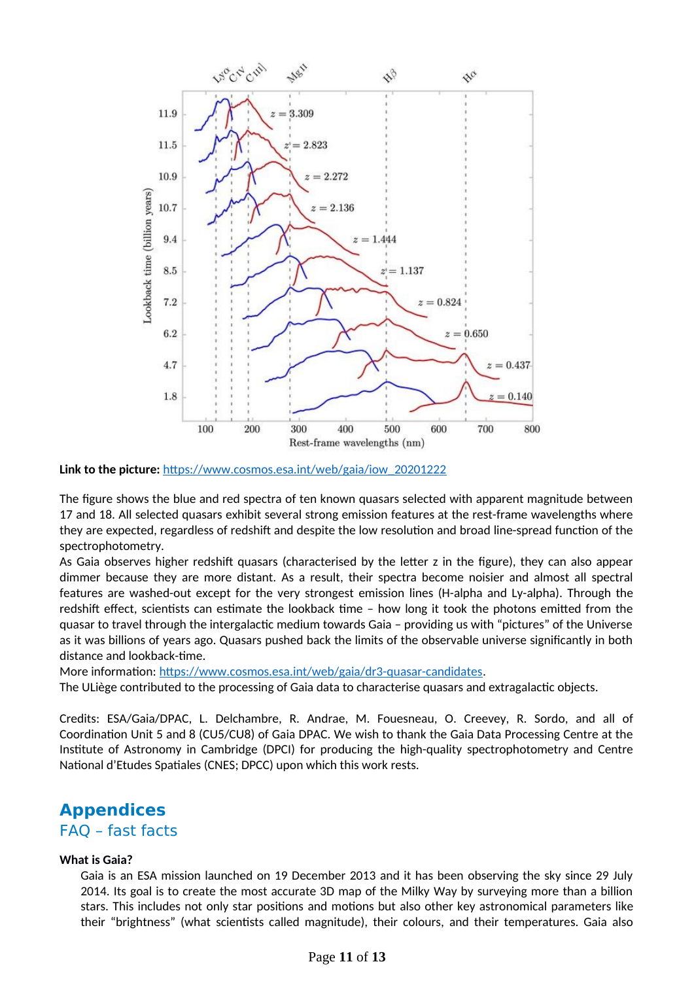![](_page_10_Figure_0.jpeg)

**Link to the picture:** [https://www.cosmos.esa.int/web/gaia/iow\\_20201222](https://www.cosmos.esa.int/web/gaia/iow_20201222)

The figure shows the blue and red spectra of ten known quasars selected with apparent magnitude between 17 and 18. All selected quasars exhibit several strong emission features at the rest-frame wavelengths where they are expected, regardless of redshift and despite the low resolution and broad line-spread function of the spectrophotometry.

As Gaia observes higher redshift quasars (characterised by the letter z in the figure), they can also appear dimmer because they are more distant. As a result, their spectra become noisier and almost all spectral features are washed-out except for the very strongest emission lines (H-alpha and Ly-alpha). Through the redshift effect, scientists can estimate the lookback time – how long it took the photons emitted from the quasar to travel through the intergalactic medium towards Gaia – providing us with "pictures" of the Universe as it was billions of years ago. Quasars pushed back the limits of the observable universe significantly in both distance and lookback-time.

More information: <https://www.cosmos.esa.int/web/gaia/dr3-quasar-candidates>.

The ULiège contributed to the processing of Gaia data to characterise quasars and extragalactic objects.

Credits: ESA/Gaia/DPAC, L. Delchambre, R. Andrae, M. Fouesneau, O. Creevey, R. Sordo, and all of Coordination Unit 5 and 8 (CU5/CU8) of Gaia DPAC. We wish to thank the Gaia Data Processing Centre at the Institute of Astronomy in Cambridge (DPCI) for producing the high-quality spectrophotometry and Centre National d'Etudes Spatiales (CNES; DPCC) upon which this work rests.

# **Appendices**

#### FAQ – fast facts

#### **What is Gaia?**

Gaia is an ESA mission launched on 19 December 2013 and it has been observing the sky since 29 July 2014. Its goal is to create the most accurate 3D map of the Milky Way by surveying more than a billion stars. This includes not only star positions and motions but also other key astronomical parameters like their "brightness" (what scientists called magnitude), their colours, and their temperatures. Gaia also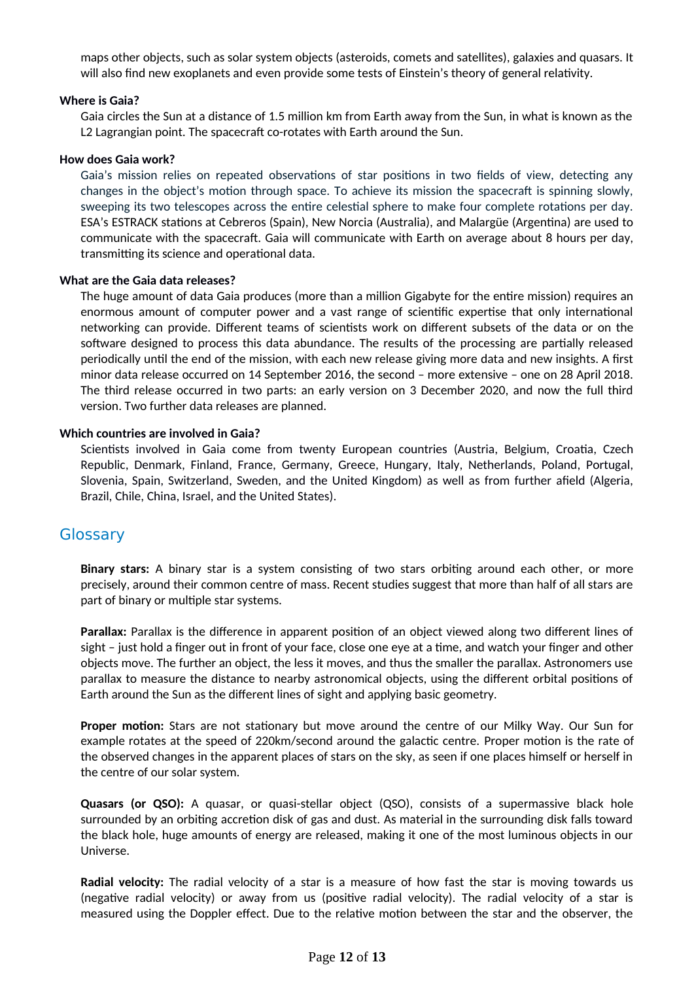maps other objects, such as solar system objects (asteroids, comets and satellites), galaxies and quasars. It will also find new exoplanets and even provide some tests of Einstein's theory of general relativity.

#### **Where is Gaia?**

Gaia circles the Sun at a distance of 1.5 million km from Earth away from the Sun, in what is known as the L2 Lagrangian point. The spacecraft co-rotates with Earth around the Sun.

#### **How does Gaia work?**

Gaia's mission relies on repeated observations of star positions in two fields of view, detecting any changes in the object's motion through space. To achieve its mission the spacecraft is spinning slowly, sweeping its two telescopes across the entire celestial sphere to make four complete rotations per day. ESA's ESTRACK stations at Cebreros (Spain), New Norcia (Australia), and Malargüe (Argentina) are used to communicate with the spacecraft. Gaia will communicate with Earth on average about 8 hours per day, transmitting its science and operational data.

#### **What are the Gaia data releases?**

The huge amount of data Gaia produces (more than a million Gigabyte for the entire mission) requires an enormous amount of computer power and a vast range of scientific expertise that only international networking can provide. Different teams of scientists work on different subsets of the data or on the software designed to process this data abundance. The results of the processing are partially released periodically until the end of the mission, with each new release giving more data and new insights. A first minor data release occurred on 14 September 2016, the second – more extensive – one on 28 April 2018. The third release occurred in two parts: an early version on 3 December 2020, and now the full third version. Two further data releases are planned.

#### **Which countries are involved in Gaia?**

Scientists involved in Gaia come from twenty European countries (Austria, Belgium, Croatia, Czech Republic, Denmark, Finland, France, Germany, Greece, Hungary, Italy, Netherlands, Poland, Portugal, Slovenia, Spain, Switzerland, Sweden, and the United Kingdom) as well as from further afield (Algeria, Brazil, Chile, China, Israel, and the United States).

#### **Glossary**

**Binary stars:** A binary star is a system consisting of two stars orbiting around each other, or more precisely, around their common centre of mass. Recent studies suggest that more than half of all stars are part of binary or multiple star systems.

**Parallax:** Parallax is the difference in apparent position of an object viewed along two different lines of sight – just hold a finger out in front of your face, close one eye at a time, and watch your finger and other objects move. The further an object, the less it moves, and thus the smaller the parallax. Astronomers use parallax to measure the distance to nearby astronomical objects, using the different orbital positions of Earth around the Sun as the different lines of sight and applying basic geometry.

**Proper motion:** Stars are not stationary but move around the centre of our Milky Way. Our Sun for example rotates at the speed of 220km/second around the galactic centre. Proper motion is the rate of the observed changes in the apparent places of stars on the sky, as seen if one places himself or herself in the centre of our solar system.

**Quasars (or QSO):** A quasar, or quasi-stellar object (QSO), consists of a supermassive black hole surrounded by an orbiting accretion disk of gas and dust. As material in the surrounding disk falls toward the black hole, huge amounts of energy are released, making it one of the most luminous objects in our Universe.

**Radial velocity:** The radial velocity of a star is a measure of how fast the star is moving towards us (negative radial velocity) or away from us (positive radial velocity). The radial velocity of a star is measured using the Doppler effect. Due to the relative motion between the star and the observer, the